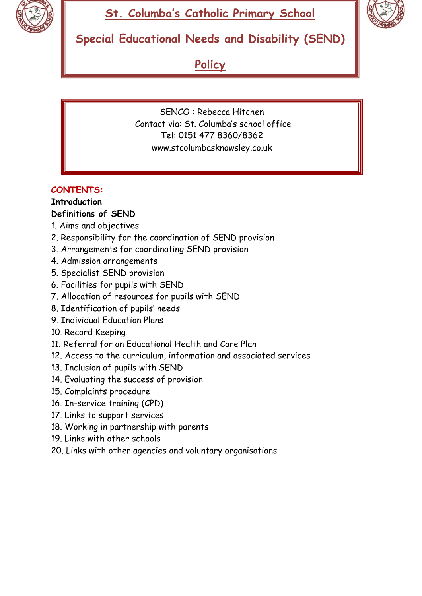

# **St. Columba's Catholic Primary School**



# **Special Educational Needs and Disability (SEND)**

**Policy**

SENCO : Rebecca Hitchen Contact via: St. Columba's school office Tel: 0151 477 8360/8362 www.stcolumbasknowsley.co.uk

### **CONTENTS:**

### **Introduction**

### **Definitions of SEND**

- 1. Aims and objectives
- 2. Responsibility for the coordination of SEND provision
- 3. Arrangements for coordinating SEND provision
- 4. Admission arrangements
- 5. Specialist SEND provision
- 6. Facilities for pupils with SEND
- 7. Allocation of resources for pupils with SEND
- 8. Identification of pupils' needs
- 9. Individual Education Plans
- 10. Record Keeping
- 11. Referral for an Educational Health and Care Plan
- 12. Access to the curriculum, information and associated services
- 13. Inclusion of pupils with SEND
- 14. Evaluating the success of provision
- 15. Complaints procedure
- 16. In-service training (CPD)
- 17. Links to support services
- 18. Working in partnership with parents
- 19. Links with other schools
- 20. Links with other agencies and voluntary organisations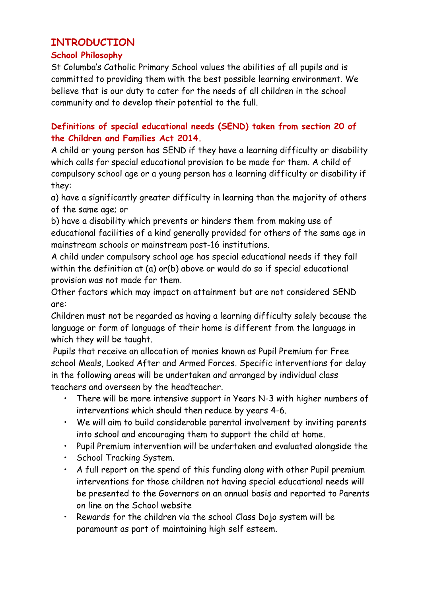### **INTRODUCTION**

#### **School Philosophy**

St Columba's Catholic Primary School values the abilities of all pupils and is committed to providing them with the best possible learning environment. We believe that is our duty to cater for the needs of all children in the school community and to develop their potential to the full.

### **Definitions of special educational needs (SEND) taken from section 20 of the Children and Families Act 2014.**

A child or young person has SEND if they have a learning difficulty or disability which calls for special educational provision to be made for them. A child of compulsory school age or a young person has a learning difficulty or disability if they:

a) have a significantly greater difficulty in learning than the majority of others of the same age; or

b) have a disability which prevents or hinders them from making use of educational facilities of a kind generally provided for others of the same age in mainstream schools or mainstream post-16 institutions.

A child under compulsory school age has special educational needs if they fall within the definition at (a) or(b) above or would do so if special educational provision was not made for them.

Other factors which may impact on attainment but are not considered SEND are:

Children must not be regarded as having a learning difficulty solely because the language or form of language of their home is different from the language in which they will be taught.

Pupils that receive an allocation of monies known as Pupil Premium for Free school Meals, Looked After and Armed Forces. Specific interventions for delay in the following areas will be undertaken and arranged by individual class teachers and overseen by the headteacher.

- There will be more intensive support in Years N-3 with higher numbers of interventions which should then reduce by years 4-6.
- We will aim to build considerable parental involvement by inviting parents into school and encouraging them to support the child at home.
- Pupil Premium intervention will be undertaken and evaluated alongside the
- School Tracking System.
- A full report on the spend of this funding along with other Pupil premium interventions for those children not having special educational needs will be presented to the Governors on an annual basis and reported to Parents on line on the School website
- Rewards for the children via the school Class Dojo system will be paramount as part of maintaining high self esteem.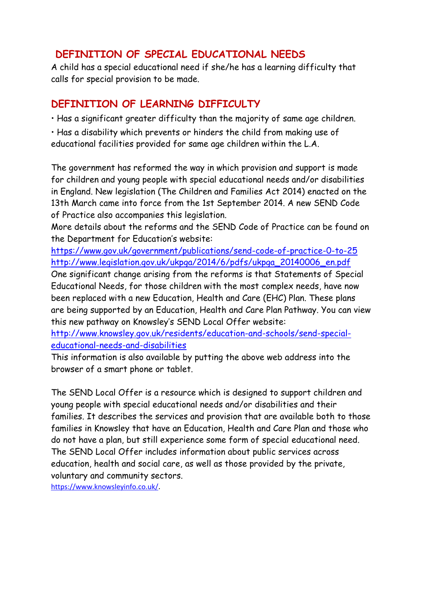### **DEFINITION OF SPECIAL EDUCATIONAL NEEDS**

A child has a special educational need if she/he has a learning difficulty that calls for special provision to be made.

# **DEFINITION OF LEARNING DIFFICULTY**

• Has a significant greater difficulty than the majority of same age children.

• Has a disability which prevents or hinders the child from making use of educational facilities provided for same age children within the L.A.

The government has reformed the way in which provision and support is made for children and young people with special educational needs and/or disabilities in England. New legislation (The Children and Families Act 2014) enacted on the 13th March came into force from the 1st September 2014. A new SEND Code of Practice also accompanies this legislation.

More details about the reforms and the SEND Code of Practice can be found on the Department for Education's website:

<https://www.gov.uk/government/publications/send-code-of-practice-0-to-25> [http://www.legislation.gov.uk/ukpga/2014/6/pdfs/ukpga\\_20140006\\_en.pdf](http://www.legislation.gov.uk/ukpga/2014/6/pdfs/ukpga_20140006_en.pdf)

One significant change arising from the reforms is that Statements of Special Educational Needs, for those children with the most complex needs, have now been replaced with a new Education, Health and Care (EHC) Plan. These plans are being supported by an Education, Health and Care Plan Pathway. You can view this new pathway on Knowsley's SEND Local Offer website:

[http://www.knowsley.gov.uk/residents/education-and-schools/send-special](http://www.knowsley.gov.uk/residents/education-and-schools/send-special-educational-needs-and-disabilities)[educational-needs-and-disabilities](http://www.knowsley.gov.uk/residents/education-and-schools/send-special-educational-needs-and-disabilities)

This information is also available by putting the above web address into the browser of a smart phone or tablet.

The SEND Local Offer is a resource which is designed to support children and young people with special educational needs and/or disabilities and their families. It describes the services and provision that are available both to those families in Knowsley that have an Education, Health and Care Plan and those who do not have a plan, but still experience some form of special educational need. The SEND Local Offer includes information about public services across education, health and social care, as well as those provided by the private, voluntary and community sectors.

<https://www.knowsleyinfo.co.uk/>.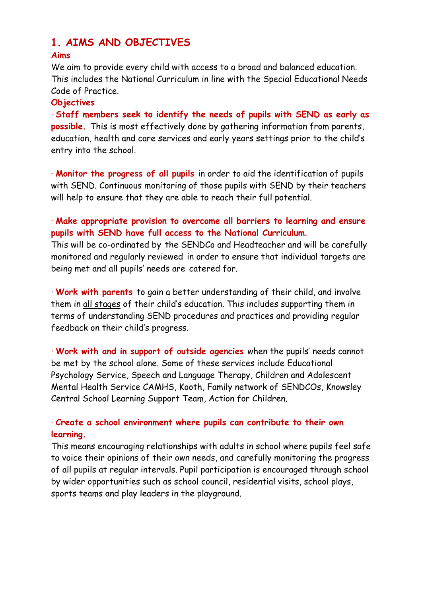# **1. AIMS AND OBJECTIVES**

#### **Aims**

We aim to provide every child with access to a broad and balanced education. This includes the National Curriculum in line with the Special Educational Needs Code of Practice.

#### **Objectives**

· **Staff members seek to identify the needs of pupils with SEND as early as possible.** This is most effectively done by gathering information from parents, education, health and care services and early years settings prior to the child's entry into the school.

· **Monitor the progress of all pupils** in order to aid the identification of pupils with SEND. Continuous monitoring of those pupils with SEND by their teachers will help to ensure that they are able to reach their full potential.

### · **Make appropriate provision to overcome all barriers to learning and ensure pupils with SEND have full access to the National Curriculum**.

This will be co-ordinated by the SENDCo and Headteacher and will be carefully monitored and regularly reviewed in order to ensure that individual targets are being met and all pupils' needs are catered for.

· **Work with parents** to gain a better understanding of their child, and involve them in all stages of their child's education. This includes supporting them in terms of understanding SEND procedures and practices and providing regular feedback on their child's progress.

· **Work with and in support of outside agencies** when the pupils' needs cannot be met by the school alone. Some of these services include Educational Psychology Service, Speech and Language Therapy, Children and Adolescent Mental Health Service CAMHS, Kooth, Family network of SENDCOs, Knowsley Central School Learning Support Team, Action for Children.

### · **Create a school environment where pupils can contribute to their own learning.**

This means encouraging relationships with adults in school where pupils feel safe to voice their opinions of their own needs, and carefully monitoring the progress of all pupils at regular intervals. Pupil participation is encouraged through school by wider opportunities such as school council, residential visits, school plays, sports teams and play leaders in the playground.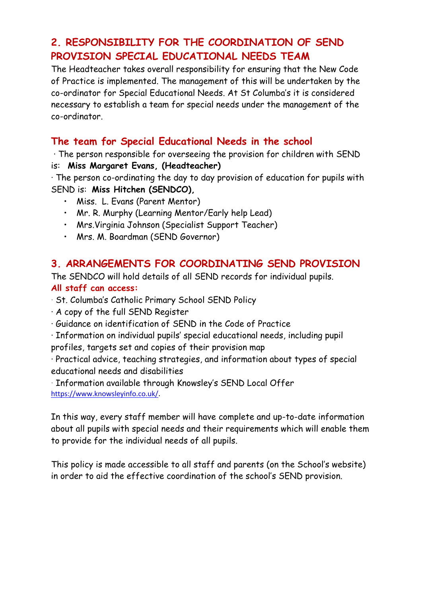# **2. RESPONSIBILITY FOR THE COORDINATION OF SEND PROVISION SPECIAL EDUCATIONAL NEEDS TEAM**

The Headteacher takes overall responsibility for ensuring that the New Code of Practice is implemented. The management of this will be undertaken by the co-ordinator for Special Educational Needs. At St Columba's it is considered necessary to establish a team for special needs under the management of the co-ordinator.

### **The team for Special Educational Needs in the school**

· The person responsible for overseeing the provision for children with SEND is: **Miss Margaret Evans, (Headteacher)**

· The person co-ordinating the day to day provision of education for pupils with SEND is: **Miss Hitchen (SENDCO),** 

- Miss. L. Evans (Parent Mentor)
- Mr. R. Murphy (Learning Mentor/Early help Lead)
- Mrs.Virginia Johnson (Specialist Support Teacher)
- Mrs. M. Boardman (SEND Governor)

### **3. ARRANGEMENTS FOR COORDINATING SEND PROVISION**

The SENDCO will hold details of all SEND records for individual pupils.

#### **All staff can access:**

- · St. Columba's Catholic Primary School SEND Policy
- · A copy of the full SEND Register
- · Guidance on identification of SEND in the Code of Practice
- · Information on individual pupils' special educational needs, including pupil
- profiles, targets set and copies of their provision map

· Practical advice, teaching strategies, and information about types of special educational needs and disabilities

· Information available through Knowsley's SEND Local Offer <https://www.knowsleyinfo.co.uk/>.

In this way, every staff member will have complete and up-to-date information about all pupils with special needs and their requirements which will enable them to provide for the individual needs of all pupils.

This policy is made accessible to all staff and parents (on the School's website) in order to aid the effective coordination of the school's SEND provision.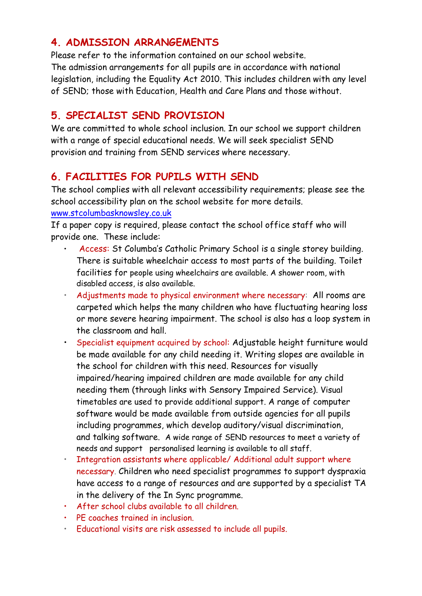# **4. ADMISSION ARRANGEMENTS**

Please refer to the information contained on our school website. The admission arrangements for all pupils are in accordance with national legislation, including the Equality Act 2010. This includes children with any level of SEND; those with Education, Health and Care Plans and those without.

# **5. SPECIALIST SEND PROVISION**

We are committed to whole school inclusion. In our school we support children with a range of special educational needs. We will seek specialist SEND provision and training from SEND services where necessary.

# **6. FACILITIES FOR PUPILS WITH SEND**

The school complies with all relevant accessibility requirements; please see the school accessibility plan on the school website for more details. [www.stcolumbasknowsley.co.uk](http://www.stcolumbasknowsley.co.uk/)

If a paper copy is required, please contact the school office staff who will provide one. These include:

- Access: St Columba's Catholic Primary School is a single storey building. There is suitable wheelchair access to most parts of the building. Toilet facilities for people using wheelchairs are available. A shower room, with disabled access, is also available.
- Adjustments made to physical environment where necessary: All rooms are carpeted which helps the many children who have fluctuating hearing loss or more severe hearing impairment. The school is also has a loop system in the classroom and hall.
- Specialist equipment acquired by school: Adjustable height furniture would be made available for any child needing it. Writing slopes are available in the school for children with this need. Resources for visually impaired/hearing impaired children are made available for any child needing them (through links with Sensory Impaired Service). Visual timetables are used to provide additional support. A range of computer software would be made available from outside agencies for all pupils including programmes, which develop auditory/visual discrimination, and talking software. A wide range of SEND resources to meet a variety of needs and support personalised learning is available to all staff.
- Integration assistants where applicable/ Additional adult support where necessary. Children who need specialist programmes to support dyspraxia have access to a range of resources and are supported by a specialist TA in the delivery of the In Sync programme.
- After school clubs available to all children.
- PE coaches trained in inclusion.
- Educational visits are risk assessed to include all pupils.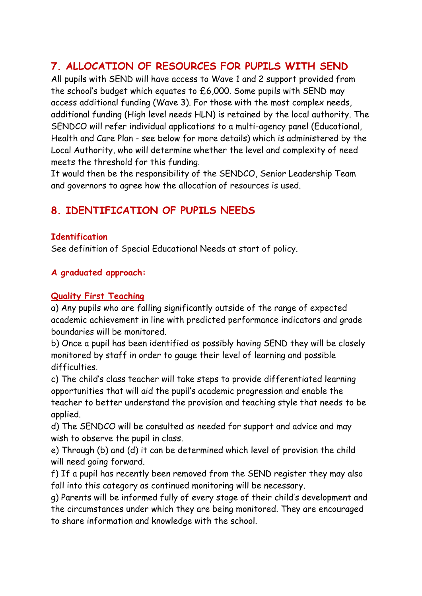# **7. ALLOCATION OF RESOURCES FOR PUPILS WITH SEND**

All pupils with SEND will have access to Wave 1 and 2 support provided from the school's budget which equates to £6,000. Some pupils with SEND may access additional funding (Wave 3). For those with the most complex needs, additional funding (High level needs HLN) is retained by the local authority. The SENDCO will refer individual applications to a multi-agency panel (Educational, Health and Care Plan - see below for more details) which is administered by the Local Authority, who will determine whether the level and complexity of need meets the threshold for this funding.

It would then be the responsibility of the SENDCO, Senior Leadership Team and governors to agree how the allocation of resources is used.

# **8. IDENTIFICATION OF PUPILS NEEDS**

#### **Identification**

See definition of Special Educational Needs at start of policy.

#### **A graduated approach:**

#### **Quality First Teaching**

a) Any pupils who are falling significantly outside of the range of expected academic achievement in line with predicted performance indicators and grade boundaries will be monitored.

b) Once a pupil has been identified as possibly having SEND they will be closely monitored by staff in order to gauge their level of learning and possible difficulties.

c) The child's class teacher will take steps to provide differentiated learning opportunities that will aid the pupil's academic progression and enable the teacher to better understand the provision and teaching style that needs to be applied.

d) The SENDCO will be consulted as needed for support and advice and may wish to observe the pupil in class.

e) Through (b) and (d) it can be determined which level of provision the child will need going forward.

f) If a pupil has recently been removed from the SEND register they may also fall into this category as continued monitoring will be necessary.

g) Parents will be informed fully of every stage of their child's development and the circumstances under which they are being monitored. They are encouraged to share information and knowledge with the school.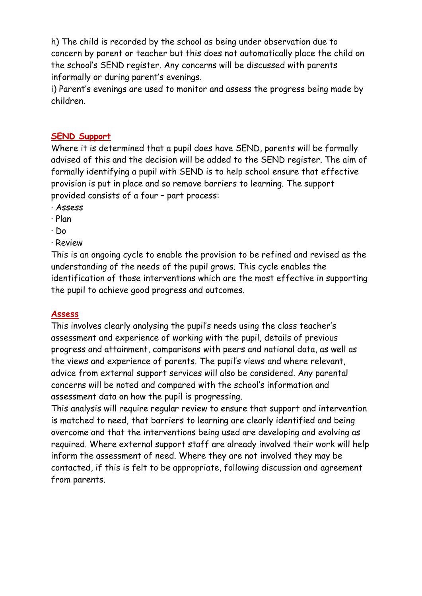h) The child is recorded by the school as being under observation due to concern by parent or teacher but this does not automatically place the child on the school's SEND register. Any concerns will be discussed with parents informally or during parent's evenings.

i) Parent's evenings are used to monitor and assess the progress being made by children.

#### **SEND Support**

Where it is determined that a pupil does have SEND, parents will be formally advised of this and the decision will be added to the SEND register. The aim of formally identifying a pupil with SEND is to help school ensure that effective provision is put in place and so remove barriers to learning. The support provided consists of a four – part process:

- · Assess
- · Plan
- · Do
- · Review

This is an ongoing cycle to enable the provision to be refined and revised as the understanding of the needs of the pupil grows. This cycle enables the identification of those interventions which are the most effective in supporting the pupil to achieve good progress and outcomes.

#### **Assess**

This involves clearly analysing the pupil's needs using the class teacher's assessment and experience of working with the pupil, details of previous progress and attainment, comparisons with peers and national data, as well as the views and experience of parents. The pupil's views and where relevant, advice from external support services will also be considered. Any parental concerns will be noted and compared with the school's information and assessment data on how the pupil is progressing.

This analysis will require regular review to ensure that support and intervention is matched to need, that barriers to learning are clearly identified and being overcome and that the interventions being used are developing and evolving as required. Where external support staff are already involved their work will help inform the assessment of need. Where they are not involved they may be contacted, if this is felt to be appropriate, following discussion and agreement from parents.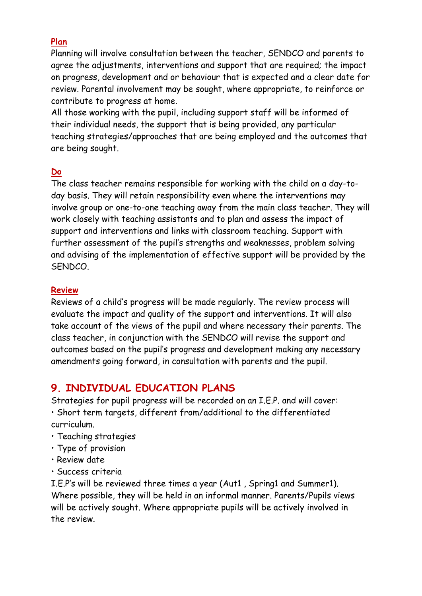### **Plan**

Planning will involve consultation between the teacher, SENDCO and parents to agree the adjustments, interventions and support that are required; the impact on progress, development and or behaviour that is expected and a clear date for review. Parental involvement may be sought, where appropriate, to reinforce or contribute to progress at home.

All those working with the pupil, including support staff will be informed of their individual needs, the support that is being provided, any particular teaching strategies/approaches that are being employed and the outcomes that are being sought.

### **Do**

The class teacher remains responsible for working with the child on a day-today basis. They will retain responsibility even where the interventions may involve group or one-to-one teaching away from the main class teacher. They will work closely with teaching assistants and to plan and assess the impact of support and interventions and links with classroom teaching. Support with further assessment of the pupil's strengths and weaknesses, problem solving and advising of the implementation of effective support will be provided by the SENDCO.

#### **Review**

Reviews of a child's progress will be made regularly. The review process will evaluate the impact and quality of the support and interventions. It will also take account of the views of the pupil and where necessary their parents. The class teacher, in conjunction with the SENDCO will revise the support and outcomes based on the pupil's progress and development making any necessary amendments going forward, in consultation with parents and the pupil.

### **9. INDIVIDUAL EDUCATION PLANS**

Strategies for pupil progress will be recorded on an I.E.P. and will cover: • Short term targets, different from/additional to the differentiated curriculum.

- Teaching strategies
- Type of provision
- Review date
- Success criteria

I.E.P's will be reviewed three times a year (Aut1 , Spring1 and Summer1). Where possible, they will be held in an informal manner. Parents/Pupils views will be actively sought. Where appropriate pupils will be actively involved in the review.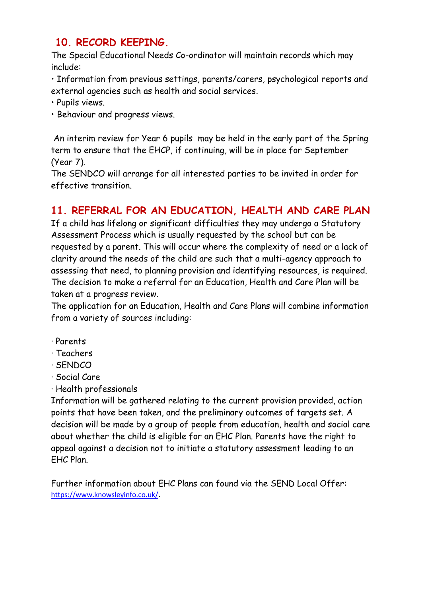### **10. RECORD KEEPING.**

The Special Educational Needs Co-ordinator will maintain records which may include:

• Information from previous settings, parents/carers, psychological reports and external agencies such as health and social services.

- Pupils views.
- Behaviour and progress views.

An interim review for Year 6 pupils may be held in the early part of the Spring term to ensure that the EHCP, if continuing, will be in place for September (Year 7).

The SENDCO will arrange for all interested parties to be invited in order for effective transition.

### **11. REFERRAL FOR AN EDUCATION, HEALTH AND CARE PLAN**

If a child has lifelong or significant difficulties they may undergo a Statutory Assessment Process which is usually requested by the school but can be requested by a parent. This will occur where the complexity of need or a lack of clarity around the needs of the child are such that a multi-agency approach to assessing that need, to planning provision and identifying resources, is required. The decision to make a referral for an Education, Health and Care Plan will be taken at a progress review.

The application for an Education, Health and Care Plans will combine information from a variety of sources including:

- · Parents
- · Teachers
- · SENDCO
- · Social Care
- · Health professionals

Information will be gathered relating to the current provision provided, action points that have been taken, and the preliminary outcomes of targets set. A decision will be made by a group of people from education, health and social care about whether the child is eligible for an EHC Plan. Parents have the right to appeal against a decision not to initiate a statutory assessment leading to an EHC Plan.

Further information about EHC Plans can found via the SEND Local Offer: <https://www.knowsleyinfo.co.uk/>.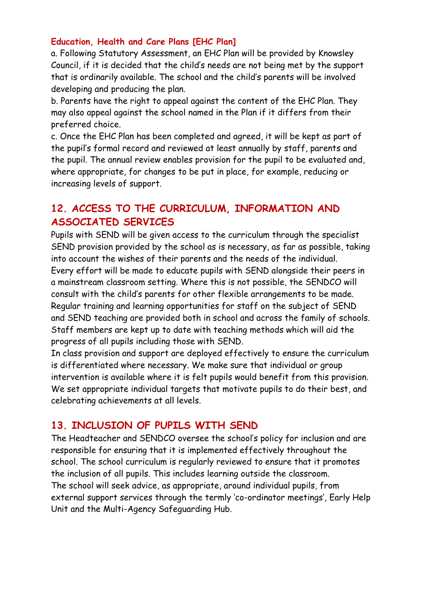#### **Education, Health and Care Plans [EHC Plan]**

a. Following Statutory Assessment, an EHC Plan will be provided by Knowsley Council, if it is decided that the child's needs are not being met by the support that is ordinarily available. The school and the child's parents will be involved developing and producing the plan.

b. Parents have the right to appeal against the content of the EHC Plan. They may also appeal against the school named in the Plan if it differs from their preferred choice.

c. Once the EHC Plan has been completed and agreed, it will be kept as part of the pupil's formal record and reviewed at least annually by staff, parents and the pupil. The annual review enables provision for the pupil to be evaluated and, where appropriate, for changes to be put in place, for example, reducing or increasing levels of support.

# **12. ACCESS TO THE CURRICULUM, INFORMATION AND ASSOCIATED SERVICES**

Pupils with SEND will be given access to the curriculum through the specialist SEND provision provided by the school as is necessary, as far as possible, taking into account the wishes of their parents and the needs of the individual. Every effort will be made to educate pupils with SEND alongside their peers in a mainstream classroom setting. Where this is not possible, the SENDCO will consult with the child's parents for other flexible arrangements to be made. Regular training and learning opportunities for staff on the subject of SEND and SEND teaching are provided both in school and across the family of schools. Staff members are kept up to date with teaching methods which will aid the progress of all pupils including those with SEND.

In class provision and support are deployed effectively to ensure the curriculum is differentiated where necessary. We make sure that individual or group intervention is available where it is felt pupils would benefit from this provision. We set appropriate individual targets that motivate pupils to do their best, and celebrating achievements at all levels.

### **13. INCLUSION OF PUPILS WITH SEND**

The Headteacher and SENDCO oversee the school's policy for inclusion and are responsible for ensuring that it is implemented effectively throughout the school. The school curriculum is regularly reviewed to ensure that it promotes the inclusion of all pupils. This includes learning outside the classroom. The school will seek advice, as appropriate, around individual pupils, from external support services through the termly 'co-ordinator meetings', Early Help Unit and the Multi-Agency Safeguarding Hub.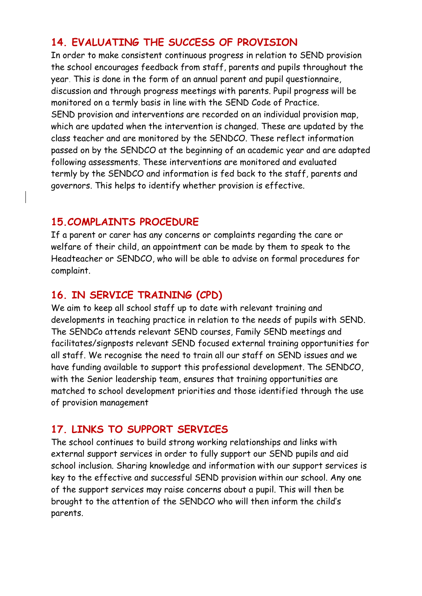# **14. EVALUATING THE SUCCESS OF PROVISION**

In order to make consistent continuous progress in relation to SEND provision the school encourages feedback from staff, parents and pupils throughout the year. This is done in the form of an annual parent and pupil questionnaire, discussion and through progress meetings with parents. Pupil progress will be monitored on a termly basis in line with the SEND Code of Practice. SEND provision and interventions are recorded on an individual provision map, which are updated when the intervention is changed. These are updated by the class teacher and are monitored by the SENDCO. These reflect information passed on by the SENDCO at the beginning of an academic year and are adapted following assessments. These interventions are monitored and evaluated termly by the SENDCO and information is fed back to the staff, parents and governors. This helps to identify whether provision is effective.

### **15.COMPLAINTS PROCEDURE**

If a parent or carer has any concerns or complaints regarding the care or welfare of their child, an appointment can be made by them to speak to the Headteacher or SENDCO, who will be able to advise on formal procedures for complaint.

### **16. IN SERVICE TRAINING (CPD)**

We aim to keep all school staff up to date with relevant training and developments in teaching practice in relation to the needs of pupils with SEND. The SENDCo attends relevant SEND courses, Family SEND meetings and facilitates/signposts relevant SEND focused external training opportunities for all staff. We recognise the need to train all our staff on SEND issues and we have funding available to support this professional development. The SENDCO, with the Senior leadership team, ensures that training opportunities are matched to school development priorities and those identified through the use of provision management

### **17. LINKS TO SUPPORT SERVICES**

The school continues to build strong working relationships and links with external support services in order to fully support our SEND pupils and aid school inclusion. Sharing knowledge and information with our support services is key to the effective and successful SEND provision within our school. Any one of the support services may raise concerns about a pupil. This will then be brought to the attention of the SENDCO who will then inform the child's parents.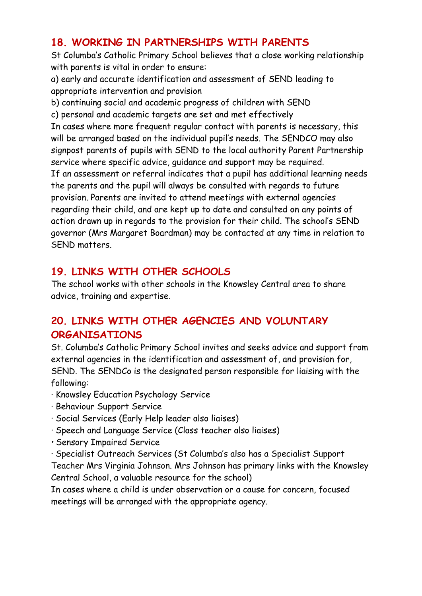### **18. WORKING IN PARTNERSHIPS WITH PARENTS**

St Columba's Catholic Primary School believes that a close working relationship with parents is vital in order to ensure:

a) early and accurate identification and assessment of SEND leading to appropriate intervention and provision

b) continuing social and academic progress of children with SEND

c) personal and academic targets are set and met effectively

In cases where more frequent regular contact with parents is necessary, this will be arranged based on the individual pupil's needs. The SENDCO may also signpost parents of pupils with SEND to the local authority Parent Partnership service where specific advice, guidance and support may be required.

If an assessment or referral indicates that a pupil has additional learning needs the parents and the pupil will always be consulted with regards to future provision. Parents are invited to attend meetings with external agencies regarding their child, and are kept up to date and consulted on any points of action drawn up in regards to the provision for their child. The school's SEND governor (Mrs Margaret Boardman) may be contacted at any time in relation to SEND matters.

# **19. LINKS WITH OTHER SCHOOLS**

The school works with other schools in the Knowsley Central area to share advice, training and expertise.

# **20. LINKS WITH OTHER AGENCIES AND VOLUNTARY ORGANISATIONS**

St. Columba's Catholic Primary School invites and seeks advice and support from external agencies in the identification and assessment of, and provision for, SEND. The SENDCo is the designated person responsible for liaising with the following:

- · Knowsley Education Psychology Service
- · Behaviour Support Service
- · Social Services (Early Help leader also liaises)
- · Speech and Language Service (Class teacher also liaises)
- Sensory Impaired Service

· Specialist Outreach Services (St Columba's also has a Specialist Support Teacher Mrs Virginia Johnson. Mrs Johnson has primary links with the Knowsley Central School, a valuable resource for the school)

In cases where a child is under observation or a cause for concern, focused meetings will be arranged with the appropriate agency.